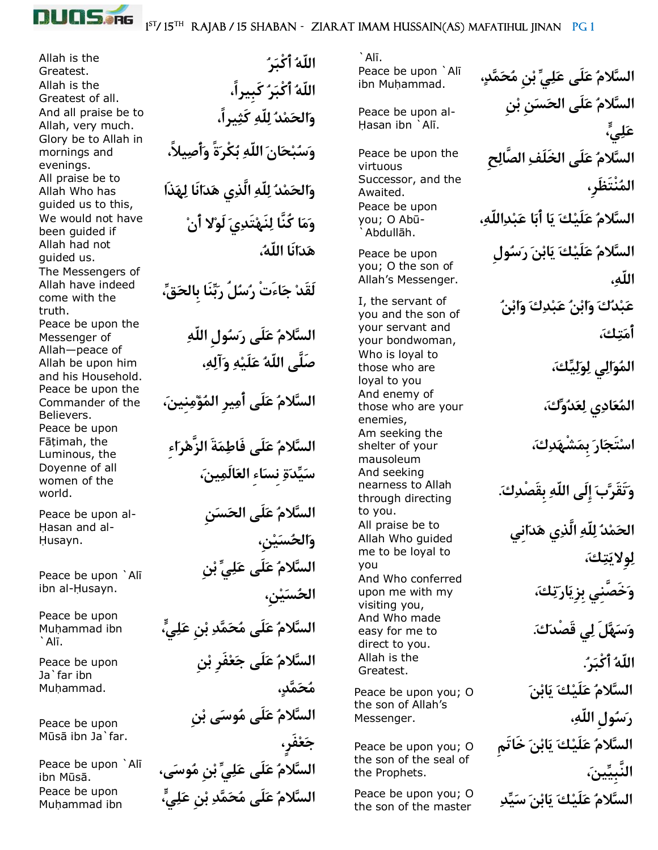

1<sup>ST</sup>/15<sup>th</sup> RAJAB / 15 SHABAN - ZIARAT IMAM HUSSAIN(AS) MAFATIHUL JINAN PG 1

Allah is the Allah is the And all praise be to Glory be to Allah in mornings and evenings. All praise be to Allah Who has guided us to this, We would not have been guided if Allah had not guided us. The Messengers of Allah have indeed come with the truth. Peace be upon the Messenger of Allah—peace of Allah be upon him and his Household. Peace be upon the Commander of the Believers. Peace be upon Fātimah, the Luminous, the Doyenne of all women of the world.

Peace be upon al- Hasan and al-Husayn.

Peace be upon `Alī ibn al-Husayn.

Peace be upon Mu¦ammad ibn `Al¢.

Peace be upon Ja`far ibn Muhammad.

Peace be upon Mūsā ibn Ja`far.

Peace be upon `Alī Peace be upon

**اللّهُ أَكْبَرُ** .Greatest **اللّهُ أَكْبَرُ كَبِيرا،ً** .all of Greatest **وَالحَمْدُ لِلّهِ كَثِيرا،ً** .much very ,Allah **وَسُبْحَانَ اللّهِ بُكْرَةً وَأَصِيال،ً وَالحَمْدُ لِلّهِ الَّذِي هَدَانَا لِهَذَا وَمَا كُنَّا لِنَهْتَدِيَ لَوْال أَنْ هَدَانَا اللّه،ُ لَقَدْ جَاءَتْ رُسُلُ رَبِّنَا بِالحَق،ِّ السَّالمُ عَلَى رَسُولِ اللّهِ صَلَّى اللّهُ عَلَيْهِ وَآلِه،ِ السَّالمُ عَلَى أَمِيرِ المُؤْمِنِين،َ السَّالمُ عَلَى فَاطِمَةَ الزَّهْرَاءِ سَيِّدَةِ نِسَاءِ العَالَمِين،َ السَّالمُ عَلَى الحَسَنِ وَالحُسَيْن،ِ السَّالمُ عَلَى عَلِيِّ بْنِ الحُسَيْن،ِ السَّالمُ عَلَى مُحَمَّدِ بْنِ عَلِي،ٍّ السَّالمُ عَلَى جَعْفَرِ بْنِ مُحَمَّد،ٍ السَّالمُ عَلَى مُوسَى بْنِ جَعْفَر،ٍ** Peace be upon `Alī **) السَّلامُ عَلَى عَلِيِّ بْنِ مُوسَى،**<br>¡ibn Mūsā. **السَّالمُ عَلَى مُحَمَّدِ بْنِ عَلِي،ٍّ** ibn ammad¦Mu

 $\hat{A}$ lī. Peace be upon `Alī

Peace be upon al- Hasan ibn `Alī.

Peace be upon the virtuous Successor, and the Awaited. Peace be upon you; O Abū-Abdullāh.

Peace be upon you; O the son of Allah's Messenger.

I, the servant of you and the son of your servant and your bondwoman, Who is loyal to those who are loyal to you And enemy of those who are your enemies, Am seeking the shelter of your mausoleum And seeking nearness to Allah through directing to you. All praise be to Allah Who guided me to be loyal to you And Who conferred upon me with my visiting you, And Who made easy for me to direct to you. Allah is the

Peace be upon you; O the son of Allah's Messenger.

Peace be upon you; O the son of the seal of the Prophets.

Peace be upon you; O the son of the master

**السَّالمُ عَلَى عَلِيِّ بْنِ مُحَمَّد،ٍ** .ammad¦Mu ibn **السَّالمُ عَلَى الحَسَنِ بْنِ عَلِي،ٍّ السَّالمُ عَلَى الخَلَفِ الصَّالِحِ المُنْتَظَر،ِ السَّالمُ عَلَيْكَ يَا أَبَا عَبْدِاللّه،ِ السَّالمُ عَلَيْكَ يَابْنَ رَسُولِ اللّه،ِ عَبْدُكَ وَابْنُ عَبْدِكَ وَابْنُ أَمَتِك،َ المُوَالِي لِوَلِيِّك،َ المُعَادِي لِعَدُوِّك،َ اسْتَجَارَ بِمَشْهَدِك،َ وَتَقَرَّبَ إِلَى اللّهِ بِقَصْدِك.َ الحَمْدُ لِلّهِ الَّذِي هَدَانِي لِوِاليَتِك،َ وَخَصَّنِي بِزِيَارَتِك،َ وَسَهَّلَ لِي قَصْدَك.َ اللّهُ أَكْبَر.ُ** .Greatest **السَّالمُ عَلَيْكَ يَابْنَ رَسُولِ اللّه،ِ السَّالمُ عَلَيْكَ يَابْنَ خَاتَمِ النَّبِيِّين،َ السَّالمُ عَلَيْكَ يَابْنَ سَيِّدِ**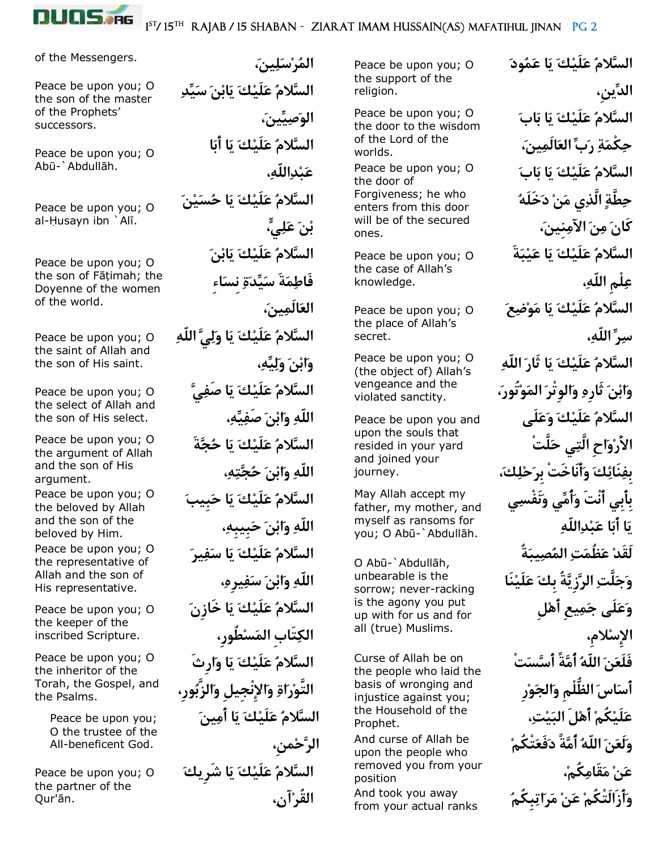

of the Messengers.

Peace be upon you; O the son of the master of the Prophets' successors.

Peace be upon you; O Abū-`Abdullāh.

Peace be upon you; O al-Husayn ibn `Alī.

Peace be upon you; O the son of Fāțimah; the Doyenne of the women of the world.

Peace be upon you; O the saint of Allah and the son of His saint.

Peace be upon you; O the select of Allah and the son of His select.

Peace be upon you; O the argument of Allah and the son of His argument.

Peace be upon you; O the beloved by Allah and the son of the beloved by Him.

Peace be upon you; O the representative of Allah and the son of His representative.

Peace be upon you; O the keeper of the inscribed Scripture.

Peace be upon you; O the inheritor of the Torah, the Gospel, and the Psalms.

> Peace be upon you; O the trustee of the All-beneficent God.

Peace be upon you; O the partner of the Our'ān.

 **المُرْسَلِين،َ السَّالمُ عَلَيْكَ يَابْنَ سَيِّدِ الوَصِيِّين،َ السَّالمُ عَلَيْكَ يَا أَبَا عَبْدِاللّه،ِ السَّالمُ عَلَيْكَ يَا حُسَيْنَ بْنَ عَلِي،ٍّ السَّالمُ عَلَيْكَ يَابْنَ فَاطِمَةَ سَيِّدَةِ نِسَاءِ العَالَمِين،َ السَّالمُ عَلَيْكَ يَا وَلِيَّ اللّهِ وَابْنَ وَلِيِّه،ِ السَّالمُ عَلَيْكَ يَا صَفِيَّ اللّهِ وَابْنَ صَفِيِّه،ِ السَّالمُ عَلَيْكَ يَا حُجَّةَ اللّهِ وَابْنَ حُجَّتِه،ِ السَّالمُ عَلَيْكَ يَا حَبِيبَ اللّهِ وَابْنَ حَبِيبِه،ِ السَّالمُ عَلَيْكَ يَا سَفِيرَ اللّهِ وَابْنَ سَفِيرِه،ِ السَّالمُ عَلَيْكَ يَا خَازِنَ الكِتَابِ المَسْطُور،ِ السَّالمُ عَلَيْكَ يَا وَارِثَ التَّوْرَاةِ وَاإلِنْجِيلِ وَالزَّبُور،ِ السَّالمُ عَلَيْكَ يَا أَمِينَ الرَّحْمن،ِ السَّالمُ عَلَيْكَ يَا شَرِيكَ القُرْآن،ِ**

Peace be upon you; O the support of the religion.

Peace be upon you; O the door to the wisdom of the Lord of the worlds. Peace be upon you; O the door of Forgiveness; he who enters from this door will be of the secured ones.

Peace be upon you; O the case of Allah's knowledge.

Peace be upon you; O the place of Allah's secret.

Peace be upon you; O (the object of) Allah's vengeance and the violated sanctity.

Peace be upon you and upon the souls that resided in your yard and joined your journey.

May Allah accept my father, my mother, and myself as ransoms for you; O Abū-`Abdullāh.

O Abū-`Abdullāh, unbearable is the sorrow; never-racking is the agony you put up with for us and for all (true) Muslims.

Curse of Allah be on the people who laid the basis of wronging and injustice against you; the Household of the Prophet. And curse of Allah be

upon the people who removed you from your position

And took you away from your actual ranks

**السَّالمُ عَلَيْكَ يَا عَمُودَ الدِّين،ِ السَّالمُ عَلَيْكَ يَا بَابَ حِكْمَةِ رَبِّ العَالَمِين،َ السَّالمُ عَلَيْكَ يَا بَابَ حِطَّةٍ الَّذِي مَنْ دَخَلَهُ كَانَ مِنَ اآلمِنِين،َ السَّالمُ عَلَيْكَ يَا عَيْبَةَ عِلْمِ اللّه،ِ السَّالمُ عَلَيْكَ يَا مَوْضِعَ سِرِّ اللّه،ِ السَّالمُ عَلَيْكَ يَا ثَارَ اللّهِ وَابْنَ ثَارِهِ وَالوِتْرَ المَوْتُور،َ السَّالمُ عَلَيْكَ وَعَلَى األَرْوَاحِ الَّتِي حَلَّتْ بِفِنَائِكَ وَأَنَاخَتْ بِرَحْلِك،َ بِأَبِي أَنْتَ وَأُمِّي وَنَفْسِي يَا أَبَا عَبْدِاللّهِ لَقَدْ عَظُمَتِ المُصِيبَةُ وَجَلَّتِ الرَّزِيَّةُ بِكَ عَلَيْنَا وَعَلَى جَمِيعِ أَهْلِ اإلِسْالم،ِ فَلَعَنَ اللّهُ أُمَّةً أَسَّسَتْ أَسَاسَ الظُّلْمِ وَالجَوْرِ عَلَيْكُمْ أَهْلَ البَيْت،ِ وَلَعَنَ اللّهُ أُمَّةً دَفَعَتْكُمْ عَنْ مَقَامِكُم،ْ وَأَزَالَتْكُمْ عَنْ مَرَاتِبِكُمُ**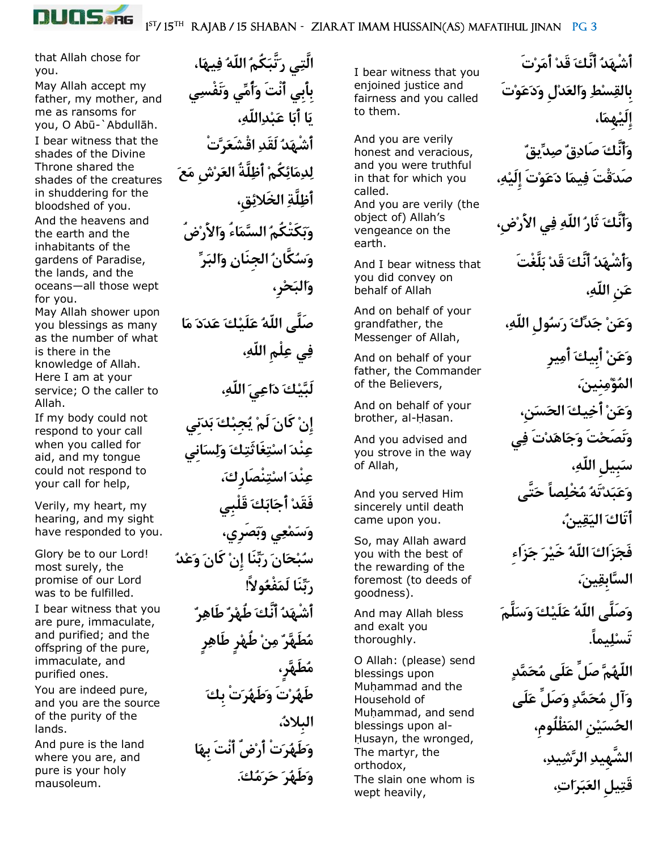

that Allah chose for you.

May Allah accept my father, my mother, and me as ransoms for you, O Abū-`Abdullāh. I bear witness that the shades of the Divine Throne shared the shades of the creatures in shuddering for the bloodshed of you. And the heavens and the earth and the inhabitants of the gardens of Paradise, the lands, and the oceans—all those wept for you.

May Allah shower upon you blessings as many as the number of what is there in the knowledge of Allah. Here I am at your service; O the caller to Allah.

If my body could not respond to your call when you called for aid, and my tongue could not respond to your call for help,

Verily, my heart, my hearing, and my sight have responded to you.

Glory be to our Lord! most surely, the promise of our Lord was to be fulfilled.

I bear witness that you are pure, immaculate, and purified; and the offspring of the pure, immaculate, and purified ones.

You are indeed pure, and you are the source of the purity of the lands.

And pure is the land where you are, and pure is your holy mausoleum.

 **الَّتِي رَتَّبَكُمُ اللّهُ فِيهَا، بِأَبِي أَنْتَ وَأُمِّي وَنَفْسِي يَا أَبَا عَبْدِاللّه،ِ أَشْهَدُ لَقَدِ اقْشَعَرَّتْ لِدِمَائِكُمْ أَظِلَّةُ العَرْشِ مَعَ أَظِلَّةِ الخَالئِق،ِ وَبَكَتْكُمُ السَّمَاءُ وَاألَرْضُ وَسُكَّانُ الجِنَانِ وَالبَرِّ وَالبَحْر،ِ صَلَّى اللّهُ عَلَيْكَ عَدَدَ مَا فِي عِلْمِ اللّه،ِ لَبَّيْكَ دَاعِيَ اللّه،ِ إِنْ كَانَ لَمْ يُجِبْكَ بَدَنِي عِنْدَ اسْتِغَاثَتِكَ وَلِسَانِي عِنْدَ اسْتِنْصَارِك،َ فَقَدْ أَجَابَكَ قَلْبِي وَسَمْعِي وَبَصَرِي، سُبْحَانَ رَبِّنَا إِنْ كَانَ وَعْدُ رَبِّنَا لَمَفْعُوالً! أَشْهَدُ أَنَّكَ طُهْرٌ طَاهِرٌ مُطَهَّرٌ مِنْ طُهْرٍ طَاهِرٍ مُطَهَّر،ٍ طَهُرْتَ وَطَهُرَتْ بِكَ البِالد،ُ وَطَهُرَتْ أَرْضٌ أَنْتَ بِهَا وَطَهُرَ حَرَمُك.َ**

I bear witness that you enjoined justice and fairness and you called to them.

And you are verily honest and veracious, and you were truthful in that for which you called. And you are verily (the object of) Allah's vengeance on the earth.

And I bear witness that you did convey on behalf of Allah

And on behalf of your grandfather, the Messenger of Allah,

And on behalf of your father, the Commander of the Believers,

And on behalf of your brother, al-Hasan.

And you advised and you strove in the way of Allah,

And you served Him sincerely until death came upon you.

So, may Allah award you with the best of the rewarding of the foremost (to deeds of goodness).

And may Allah bless and exalt you thoroughly.

O Allah: (please) send blessings upon Muhammad and the Household of Muhammad, and send blessings upon al- Husayn, the wronged, The martyr, the orthodox, The slain one whom is wept heavily,

**أَشْهَدُ أَنَّكَ قَدْ أَمَرْتَ بِالقِسْطِ وَالعَدْلِ وَدَعَوْتَ إِلَيْهِمَا، وَأَنَّكَ صَادِقٌ صِدِّيقٌ صَدَقْتَ فِيمَا دَعَوْتَ إِلَيْه،ِ وَأَنَّكَ ثَارُ اللّهِ فِي األَرْض،ِ وَأَشْهَدُ أَنَّكَ قَدْ بَلَّغْتَ عَنِ اللّه،ِ وَعَنْ جَدِّكَ رَسُولِ اللّه،ِ وَعَنْ أَبِيكَ أَمِيرِ المُؤْمِنِين،َ وَعَنْ أَخِيكَ الحَسَن،ِ وَنَصَحْتَ وَجَاهَدْتَ فِي سَبِيلِ اللّه،ِ وَعَبَدْتَهُ مُخْلِصاً حَتَّى أَتَاكَ اليَقِين،ُ فَجَزَاكَ اللّهُ خَيْرَ جَزَاءِ السَّابِقِين،َ وَصَلَّى اللّهُ عَلَيْكَ وَسَلَّمَ تَسْلِيما.ً اللّهُمَّ صَلِّ عَلَى مُحَمَّدٍ وَآلِ مُحَمَّدٍ وَصَلِّ عَلَى الحُسَيْنِ المَظْلُوم،ِ الشَّهِيدِ الرَّشِيد،ِ قَتِيلِ العَبَرَات،ِ**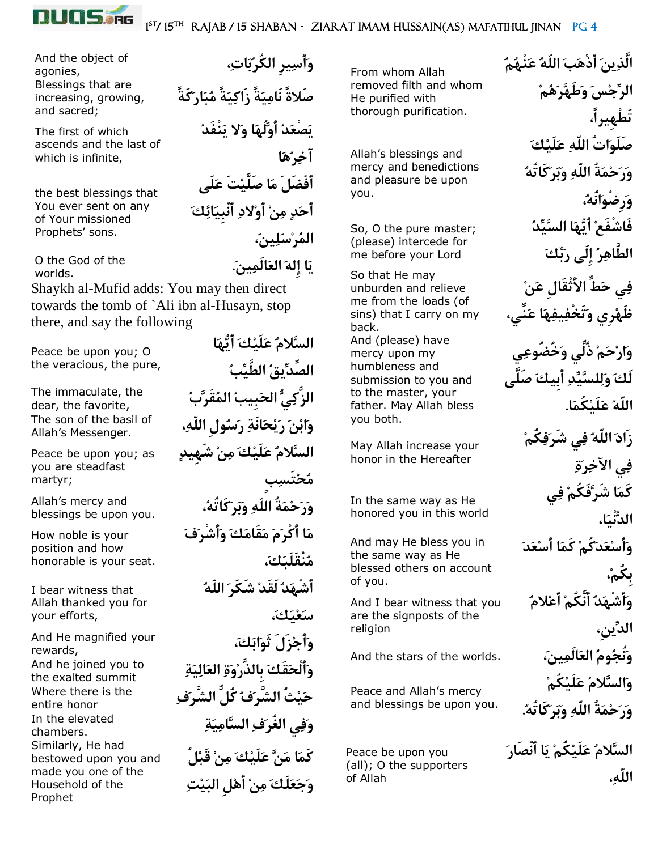

## 1<sup>ST</sup>/15<sup>TH</sup> RAJAB / 15 SHABAN - ZIARAT IMAM HUSSAIN(AS) MAFATIHUL JINAN PG 4

**وَأَسِيرِ الكُرُبَات،ِ**

**آخِرُهَا**

**المُرْسَلِين،َ**

**يَا إِلهَ العَالَمِين.َ**

**صَالةً نَامِيَةً زَاكِيَةً مُبَارَكَةً**

**يَصْعَدُ أَوَّلُهَا وَال يَنْفَدُ** 

**أَفْضَلَ مَا صَلَّيْتَ عَلَى** 

**أَحَدٍ مِنْ أَوْالدِ أَنْبِيَائِكَ** 

And the object of agonies, Blessings that are increasing, growing, and sacred;

The first of which ascends and the last of which is infinite,

the best blessings that You ever sent on any of Your missioned Prophets' sons.

O the God of the worlds.

Shaykh al-Mufid adds: You may then direct towards the tomb of `Ali ibn al-Husayn, stop there, and say the following

Peace be upon you; O the veracious, the pure,

The immaculate, the dear, the favorite, The son of the basil of Allah's Messenger.

Peace be upon you; as you are steadfast martyr;

Allah's mercy and blessings be upon you.

How noble is your position and how honorable is your seat.

I bear witness that Allah thanked you for your efforts,

And He magnified your rewards, And he joined you to the exalted summit Where there is the entire honor In the elevated chambers. Similarly, He had bestowed upon you and made you one of the Household of the Prophet

**السَّالمُ عَلَيْكَ أَيُّهَا الصِّدِّيقُ الطَّيِّبُ الزَّكِيُّ الحَبِيبُ المُقَرَّبُ وَابْنَ رَيْحَانَةِ رَسُولِ اللّه،ِ السَّالمُ عَلَيْكَ مِنْ شَهِيدٍ مُحْتَسِبٍ وَرَحْمَةُ اللّهِ وَبَرَكَاتُه،ُ مَا أَكْرَمَ مَقَامَكَ وَأَشْرَفَ مُنْقَلَبَك،َ أَشْهَدُ لَقَدْ شَكَرَ اللّهُ سَعْيَك،َ وَأَجْزَلَ ثَوَابَك،َ وَأَلْحَقَكَ بِالذَّرْوَةِ العَالِيَةِ حَيْثُ الشَّرَفُ كُلُّ الشَّرَفِ وَفِي الغُرَفِ السَّامِيَةِ كَمَا مَنَّ عَلَيْكَ مِنْ قَبْلُ وَجَعَلَكَ مِنْ أَهْلِ البَيْتِ**

From whom Allah removed filth and whom He purified with thorough purification.

Allah's blessings and mercy and benedictions and pleasure be upon you.

So, O the pure master; (please) intercede for me before your Lord

So that He may unburden and relieve me from the loads (of sins) that I carry on my back. And (please) have mercy upon my humbleness and submission to you and to the master, your father. May Allah bless you both.

May Allah increase your honor in the Hereafter

In the same way as He honored you in this world

And may He bless you in the same way as He blessed others on account of you.

And I bear witness that you are the signposts of the religion

Peace and Allah's mercy and blessings be upon you.

Peace be upon you (all); O the supporters of Allah

**الَّذِينَ أَذْهَبَ اللّهُ عَنْهُمُ الرِّجْسَ وَطَهَّرَهُمْ تَطْهِيرا،ً صَلَوَاتُ اللّهِ عَلَيْكَ وَرَحْمَةُ اللّهِ وَبَرَكَاتُهُ وَرِضْوَانُه،ُ فَاشْفَعْ أَيُّهَا السَّيِّدُ الطَّاهِرُ إِلَى رَبِّكَ فِي حَطِّ األَثْقَالِ عَنْ ظَهْرِي وَتَخْفِيفِهَا عَنِّي، وَارْحَمْ ذُلِّي وَخُضُوعِي لَكَ وَلِلسَّيِّدِ أَبِيكَ صَلَّى اللّهُ عَلَيْكُمَا. زَادَ اللّهُ فِي شَرَفِكُمْ فِي اآلخِرَةِ كَمَا شَرَّفَكُمْ فِي الدُّنْيَا، وَأَسْعَدَكُمْ كَمَا أَسْعَدَ بِكُم،ْ وَأَشْهَدُ أَنَّكُمْ أَعْالمُ الدِّين،ِ وَنُجُومُ العَالَمِين،َ** .worlds the of stars the And **وَالسَّالمُ عَلَيْكُمْ وَرَحْمَةُ اللّهِ وَبَرَكَاتُه.ُ**

**السَّالمُ عَلَيْكُمْ يَا أَنْصَارَ اللّه،ِ**